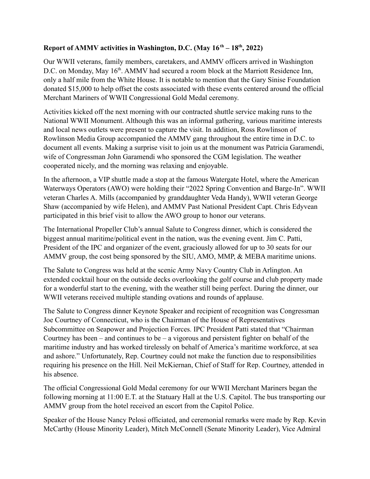## **Report of AMMV activities in Washington, D.C. (May 16th – 18th , 2022)**

Our WWII veterans, family members, caretakers, and AMMV officers arrived in Washington D.C. on Monday, May 16<sup>th</sup>. AMMV had secured a room block at the Marriott Residence Inn, only a half mile from the White House. It is notable to mention that the Gary Sinise Foundation donated \$15,000 to help offset the costs associated with these events centered around the official Merchant Mariners of WWII Congressional Gold Medal ceremony.

Activities kicked off the next morning with our contracted shuttle service making runs to the National WWII Monument. Although this was an informal gathering, various maritime interests and local news outlets were present to capture the visit. In addition, Ross Rowlinson of Rowlinson Media Group accompanied the AMMV gang throughout the entire time in D.C. to document all events. Making a surprise visit to join us at the monument was Patricia Garamendi, wife of Congressman John Garamendi who sponsored the CGM legislation. The weather cooperated nicely, and the morning was relaxing and enjoyable.

In the afternoon, a VIP shuttle made a stop at the famous Watergate Hotel, where the American Waterways Operators (AWO) were holding their "2022 Spring Convention and Barge-In". WWII veteran Charles A. Mills (accompanied by granddaughter Veda Handy), WWII veteran George Shaw (accompanied by wife Helen), and AMMV Past National President Capt. Chris Edyvean participated in this brief visit to allow the AWO group to honor our veterans.

The International Propeller Club's annual Salute to Congress dinner, which is considered the biggest annual maritime/political event in the nation, was the evening event. Jim C. Patti, President of the IPC and organizer of the event, graciously allowed for up to 30 seats for our AMMV group, the cost being sponsored by the SIU, AMO, MMP, & MEBA maritime unions.

The Salute to Congress was held at the scenic Army Navy Country Club in Arlington. An extended cocktail hour on the outside decks overlooking the golf course and club property made for a wonderful start to the evening, with the weather still being perfect. During the dinner, our WWII veterans received multiple standing ovations and rounds of applause.

The Salute to Congress dinner Keynote Speaker and recipient of recognition was Congressman Joe Courtney of Connecticut, who is the Chairman of the House of Representatives Subcommittee on Seapower and Projection Forces. IPC President Patti stated that "Chairman Courtney has been – and continues to be – a vigorous and persistent fighter on behalf of the maritime industry and has worked tirelessly on behalf of America's maritime workforce, at sea and ashore." Unfortunately, Rep. Courtney could not make the function due to responsibilities requiring his presence on the Hill. Neil McKiernan, Chief of Staff for Rep. Courtney, attended in his absence.

The official Congressional Gold Medal ceremony for our WWII Merchant Mariners began the following morning at 11:00 E.T. at the Statuary Hall at the U.S. Capitol. The bus transporting our AMMV group from the hotel received an escort from the Capitol Police.

Speaker of the House Nancy Pelosi officiated, and ceremonial remarks were made by Rep. Kevin McCarthy (House Minority Leader), Mitch McConnell (Senate Minority Leader), Vice Admiral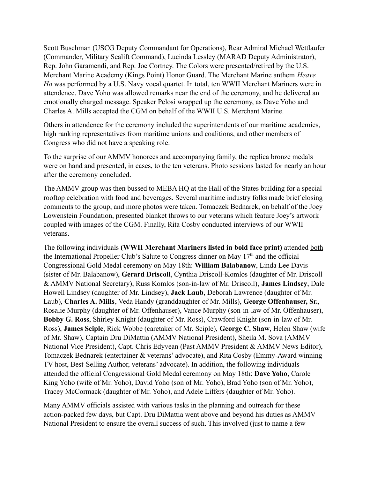Scott Buschman (USCG Deputy Commandant for Operations), Rear Admiral Michael Wettlaufer (Commander, Military Sealift Command), Lucinda Lessley (MARAD Deputy Administrator), Rep. John Garamendi, and Rep. Joe Cortney. The Colors were presented/retired by the U.S. Merchant Marine Academy (Kings Point) Honor Guard. The Merchant Marine anthem *Heave Ho* was performed by a U.S. Navy vocal quartet. In total, ten WWII Merchant Mariners were in attendence. Dave Yoho was allowed remarks near the end of the ceremony, and he delivered an emotionally charged message. Speaker Pelosi wrapped up the ceremony, as Dave Yoho and Charles A. Mills accepted the CGM on behalf of the WWII U.S. Merchant Marine.

Others in attendence for the ceremony included the superintendents of our maritime academies, high ranking representatives from maritime unions and coalitions, and other members of Congress who did not have a speaking role.

To the surprise of our AMMV honorees and accompanying family, the replica bronze medals were on hand and presented, in cases, to the ten veterans. Photo sessions lasted for nearly an hour after the ceremony concluded.

The AMMV group was then bussed to MEBA HQ at the Hall of the States building for a special rooftop celebration with food and beverages. Several maritime industry folks made brief closing comments to the group, and more photos were taken. Tomaczek Bednarek, on behalf of the Joey Lowenstein Foundation, presented blanket throws to our veterans which feature Joey's artwork coupled with images of the CGM. Finally, Rita Cosby conducted interviews of our WWII veterans.

The following individuals **(WWII Merchant Mariners listed in bold face print)** attended both the International Propeller Club's Salute to Congress dinner on May 17<sup>th</sup> and the official Congressional Gold Medal ceremony on May 18th: **William Balabanow**, Linda Lee Davis (sister of Mr. Balabanow), **Gerard Driscoll**, Cynthia Driscoll-Komlos (daughter of Mr. Driscoll & AMMV National Secretary), Russ Komlos (son-in-law of Mr. Driscoll), **James Lindsey**, Dale Howell Lindsey (daughter of Mr. Lindsey), **Jack Laub**, Deborah Lawrence (daughter of Mr. Laub), **Charles A. Mills**, Veda Handy (granddaughter of Mr. Mills), **George Offenhauser, Sr.**, Rosalie Murphy (daughter of Mr. Offenhauser), Vance Murphy (son-in-law of Mr. Offenhauser), **Bobby G. Ross**, Shirley Knight (daughter of Mr. Ross), Crawford Knight (son-in-law of Mr. Ross), **James Sciple**, Rick Wobbe (caretaker of Mr. Sciple), **George C. Shaw**, Helen Shaw (wife of Mr. Shaw), Captain Dru DiMattia (AMMV National President), Sheila M. Sova (AMMV National Vice President), Capt. Chris Edyvean (Past AMMV President & AMMV News Editor), Tomaczek Bednarek (entertainer & veterans' advocate), and Rita Cosby (Emmy-Award winning TV host, Best-Selling Author, veterans' advocate). In addition, the following individuals attended the official Congressional Gold Medal ceremony on May 18th: **Dave Yoho**, Carole King Yoho (wife of Mr. Yoho), David Yoho (son of Mr. Yoho), Brad Yoho (son of Mr. Yoho), Tracey McCormack (daughter of Mr. Yoho), and Adele Liffers (daughter of Mr. Yoho).

Many AMMV officials assisted with various tasks in the planning and outreach for these action-packed few days, but Capt. Dru DiMattia went above and beyond his duties as AMMV National President to ensure the overall success of such. This involved (just to name a few